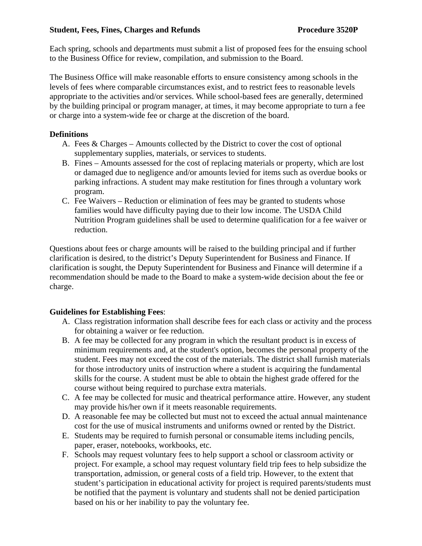#### **Student, Fees, Fines, Charges and Refunds Procedure 3520P**

Each spring, schools and departments must submit a list of proposed fees for the ensuing school to the Business Office for review, compilation, and submission to the Board.

The Business Office will make reasonable efforts to ensure consistency among schools in the levels of fees where comparable circumstances exist, and to restrict fees to reasonable levels appropriate to the activities and/or services. While school-based fees are generally, determined by the building principal or program manager, at times, it may become appropriate to turn a fee or charge into a system-wide fee or charge at the discretion of the board.

## **Definitions**

- A. Fees & Charges Amounts collected by the District to cover the cost of optional supplementary supplies, materials, or services to students.
- B. Fines Amounts assessed for the cost of replacing materials or property, which are lost or damaged due to negligence and/or amounts levied for items such as overdue books or parking infractions. A student may make restitution for fines through a voluntary work program.
- C. Fee Waivers Reduction or elimination of fees may be granted to students whose families would have difficulty paying due to their low income. The USDA Child Nutrition Program guidelines shall be used to determine qualification for a fee waiver or reduction.

Questions about fees or charge amounts will be raised to the building principal and if further clarification is desired, to the district's Deputy Superintendent for Business and Finance. If clarification is sought, the Deputy Superintendent for Business and Finance will determine if a recommendation should be made to the Board to make a system-wide decision about the fee or charge.

## **Guidelines for Establishing Fees**:

- A. Class registration information shall describe fees for each class or activity and the process for obtaining a waiver or fee reduction.
- B. A fee may be collected for any program in which the resultant product is in excess of minimum requirements and, at the student's option, becomes the personal property of the student. Fees may not exceed the cost of the materials. The district shall furnish materials for those introductory units of instruction where a student is acquiring the fundamental skills for the course. A student must be able to obtain the highest grade offered for the course without being required to purchase extra materials.
- C. A fee may be collected for music and theatrical performance attire. However, any student may provide his/her own if it meets reasonable requirements.
- D. A reasonable fee may be collected but must not to exceed the actual annual maintenance cost for the use of musical instruments and uniforms owned or rented by the District.
- E. Students may be required to furnish personal or consumable items including pencils, paper, eraser, notebooks, workbooks, etc.
- F. Schools may request voluntary fees to help support a school or classroom activity or project. For example, a school may request voluntary field trip fees to help subsidize the transportation, admission, or general costs of a field trip. However, to the extent that student's participation in educational activity for project is required parents/students must be notified that the payment is voluntary and students shall not be denied participation based on his or her inability to pay the voluntary fee.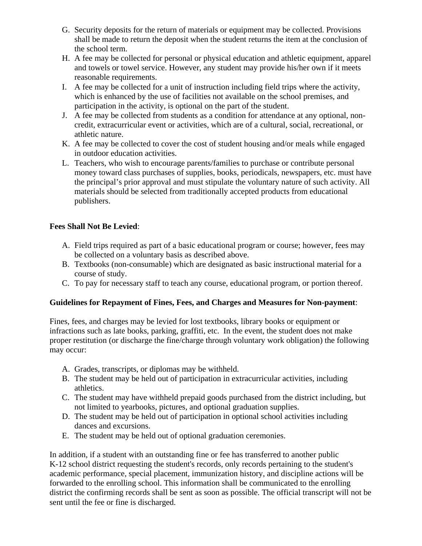- G. Security deposits for the return of materials or equipment may be collected. Provisions shall be made to return the deposit when the student returns the item at the conclusion of the school term.
- H. A fee may be collected for personal or physical education and athletic equipment, apparel and towels or towel service. However, any student may provide his/her own if it meets reasonable requirements.
- I. A fee may be collected for a unit of instruction including field trips where the activity, which is enhanced by the use of facilities not available on the school premises, and participation in the activity, is optional on the part of the student.
- J. A fee may be collected from students as a condition for attendance at any optional, noncredit, extracurricular event or activities, which are of a cultural, social, recreational, or athletic nature.
- K. A fee may be collected to cover the cost of student housing and/or meals while engaged in outdoor education activities.
- L. Teachers, who wish to encourage parents/families to purchase or contribute personal money toward class purchases of supplies, books, periodicals, newspapers, etc. must have the principal's prior approval and must stipulate the voluntary nature of such activity. All materials should be selected from traditionally accepted products from educational publishers.

# **Fees Shall Not Be Levied**:

- A. Field trips required as part of a basic educational program or course; however, fees may be collected on a voluntary basis as described above.
- B. Textbooks (non-consumable) which are designated as basic instructional material for a course of study.
- C. To pay for necessary staff to teach any course, educational program, or portion thereof.

## **Guidelines for Repayment of Fines, Fees, and Charges and Measures for Non-payment**:

Fines, fees, and charges may be levied for lost textbooks, library books or equipment or infractions such as late books, parking, graffiti, etc. In the event, the student does not make proper restitution (or discharge the fine/charge through voluntary work obligation) the following may occur:

- A. Grades, transcripts, or diplomas may be withheld.
- B. The student may be held out of participation in extracurricular activities, including athletics.
- C. The student may have withheld prepaid goods purchased from the district including, but not limited to yearbooks, pictures, and optional graduation supplies.
- D. The student may be held out of participation in optional school activities including dances and excursions.
- E. The student may be held out of optional graduation ceremonies.

In addition, if a student with an outstanding fine or fee has transferred to another public K-12 school district requesting the student's records, only records pertaining to the student's academic performance, special placement, immunization history, and discipline actions will be forwarded to the enrolling school. This information shall be communicated to the enrolling district the confirming records shall be sent as soon as possible. The official transcript will not be sent until the fee or fine is discharged.